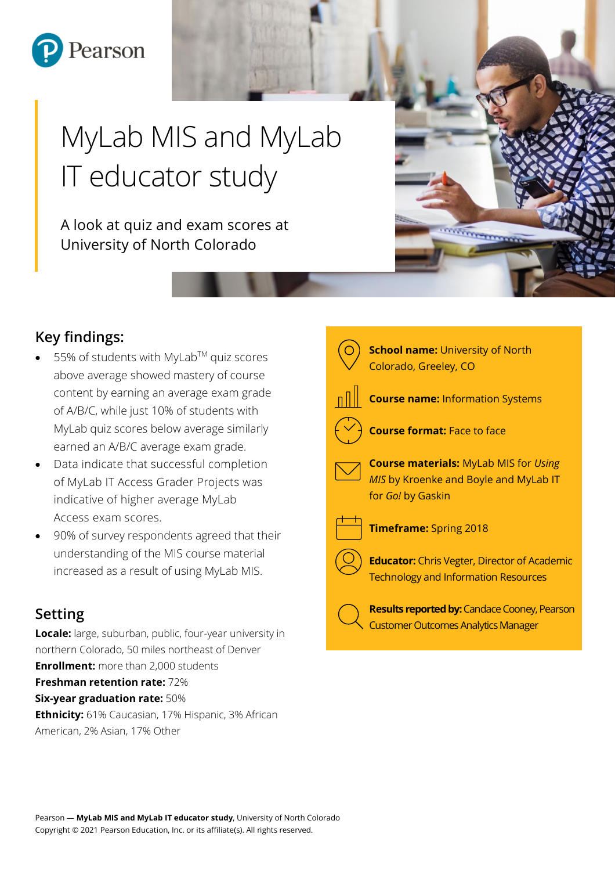

# MyLab MIS and MyLab IT educator study

A look at quiz and exam scores at University of North Colorado

# **Key findings:**

- 55% of students with MyLab™ quiz scores above average showed mastery of course content by earning an average exam grade of A/B/C, while just 10% of students with MyLab quiz scores below average similarly earned an A/B/C average exam grade.
- Data indicate that successful completion of MyLab IT Access Grader Projects was indicative of higher average MyLab Access exam scores.
- 90% of survey respondents agreed that their understanding of the MIS course material increased as a result of using MyLab MIS.

# **Setting**

**Locale:** large, suburban, public, four-year university in northern Colorado, 50 miles northeast of Denver **Enrollment:** more than 2,000 students **Freshman retention rate:** 72% **Six-year graduation rate:** 50% **Ethnicity:** 61% Caucasian, 17% Hispanic, 3% African American, 2% Asian, 17% Other



*<u>Minimennis</u>*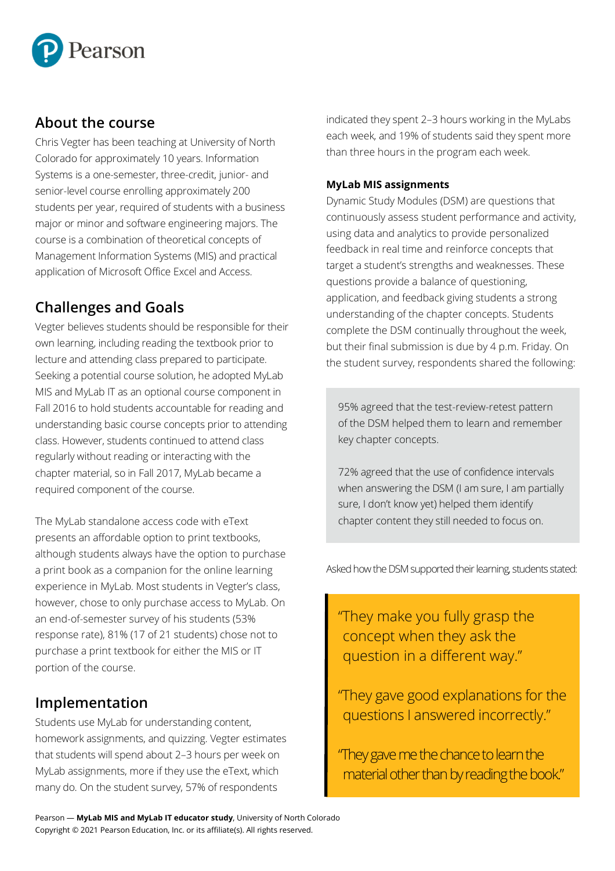

## **About the course**

Chris Vegter has been teaching at University of North Colorado for approximately 10 years. Information Systems is a one-semester, three-credit, junior- and senior-level course enrolling approximately 200 students per year, required of students with a business major or minor and software engineering majors. The course is a combination of theoretical concepts of Management Information Systems (MIS) and practical application of Microsoft Office Excel and Access.

# **Challenges and Goals**

Vegter believes students should be responsible for their own learning, including reading the textbook prior to lecture and attending class prepared to participate. Seeking a potential course solution, he adopted MyLab MIS and MyLab IT as an optional course component in Fall 2016 to hold students accountable for reading and understanding basic course concepts prior to attending class. However, students continued to attend class regularly without reading or interacting with the chapter material, so in Fall 2017, MyLab became a required component of the course.

The MyLab standalone access code with eText presents an affordable option to print textbooks, although students always have the option to purchase a print book as a companion for the online learning experience in MyLab. Most students in Vegter's class, however, chose to only purchase access to MyLab. On an end-of-semester survey of his students (53% response rate), 81% (17 of 21 students) chose not to purchase a print textbook for either the MIS or IT portion of the course.

## **Implementation**

Students use MyLab for understanding content, homework assignments, and quizzing. Vegter estimates that students will spend about 2–3 hours per week on MyLab assignments, more if they use the eText, which many do. On the student survey, 57% of respondents

indicated they spent 2–3 hours working in the MyLabs each week, and 19% of students said they spent more than three hours in the program each week.

#### **MyLab MIS assignments**

Dynamic Study Modules (DSM) are questions that continuously assess student performance and activity, using data and analytics to provide personalized feedback in real time and reinforce concepts that target a student's strengths and weaknesses. These questions provide a balance of questioning, application, and feedback giving students a strong understanding of the chapter concepts. Students complete the DSM continually throughout the week, but their final submission is due by 4 p.m. Friday. On the student survey, respondents shared the following:

95% agreed that the test-review-retest pattern of the DSM helped them to learn and remember key chapter concepts.

72% agreed that the use of confidence intervals when answering the DSM (I am sure, I am partially sure, I don't know yet) helped them identify chapter content they still needed to focus on.

Asked how the DSM supported their learning, students stated:

 $\overline{u}$ "They make you fully grasp the concept when they ask the question in a different way."

"They gave good explanations for the questions I answered incorrectly."

"They gave me the chance to learn the material other than by reading the book."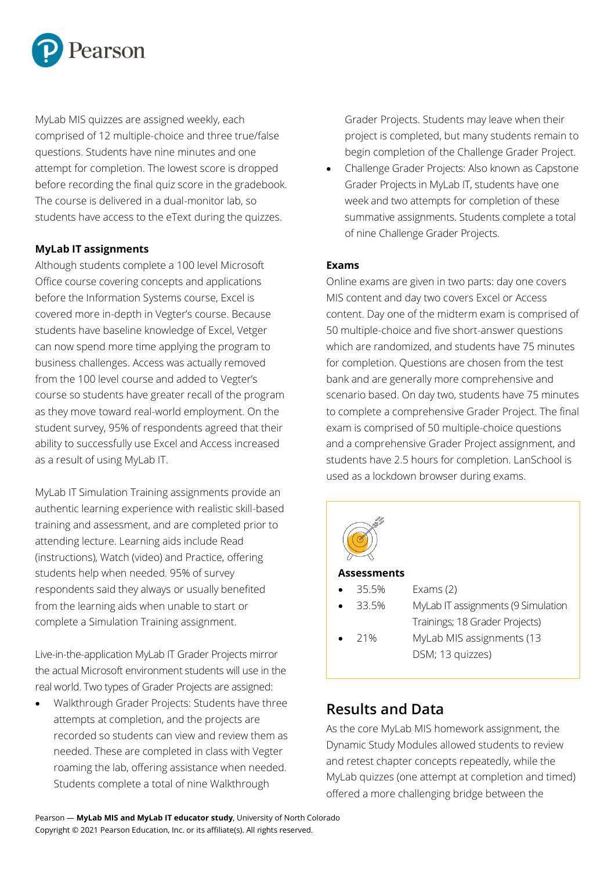

MyLab MIS quizzes are assigned weekly, each comprised of 12 multiple-choice and three true/false questions. Students have nine minutes and one attempt for completion. The lowest score is dropped before recording the final quiz score in the gradebook. The course is delivered in a dual-monitor lab, so students have access to the eText during the quizzes.

#### **MyLab IT assignments**

Although students complete a 100 level Microsoft Office course covering concepts and applications before the Information Systems course, Excel is covered more in-depth in Vegter's course. Because students have baseline knowledge of Excel, Vetger can now spend more time applying the program to business challenges. Access was actually removed from the 100 level course and added to Vegter's course so students have greater recall of the program as they move toward real-world employment. On the student survey, 95% of respondents agreed that their ability to successfully use Excel and Access increased as a result of using MyLab IT.

MyLab IT Simulation Training assignments provide an authentic learning experience with realistic skill-based training and assessment, and are completed prior to attending lecture. Learning aids include Read (instructions), Watch (video) and Practice, offering students help when needed. 95% of survey respondents said they always or usually benefited from the learning aids when unable to start or complete a Simulation Training assignment.

Live-in-the-application MyLab IT Grader Projects mirror the actual Microsoft environment students will use in the real world. Two types of Grader Projects are assigned:

• Walkthrough Grader Projects: Students have three attempts at completion, and the projects are recorded so students can view and review them as needed. These are completed in class with Vegter roaming the lab, offering assistance when needed. Students complete a total of nine Walkthrough

Grader Projects. Students may leave when their project is completed, but many students remain to begin completion of the Challenge Grader Project.

• Challenge Grader Projects: Also known as Capstone Grader Projects in MyLab IT, students have one week and two attempts for completion of these summative assignments. Students complete a total of nine Challenge Grader Projects.

#### **Exams**

Online exams are given in two parts: day one covers MIS content and day two covers Excel or Access content. Day one of the midterm exam is comprised of 50 multiple-choice and five short-answer questions which are randomized, and students have 75 minutes for completion. Questions are chosen from the test bank and are generally more comprehensive and scenario based. On day two, students have 75 minutes to complete a comprehensive Grader Project. The final exam is comprised of 50 multiple-choice questions and a comprehensive Grader Project assignment, and students have 2.5 hours for completion. LanSchool is used as a lockdown browser during exams.



- 35.5% Exams (2)
- 

• 33.5% MyLab IT assignments (9 Simulation Trainings; 18 Grader Projects)

- 
- 21% MyLab MIS assignments (13 DSM; 13 quizzes)

## **Results and Data**

As the core MyLab MIS homework assignment, the Dynamic Study Modules allowed students to review and retest chapter concepts repeatedly, while the MyLab quizzes (one attempt at completion and timed) offered a more challenging bridge between the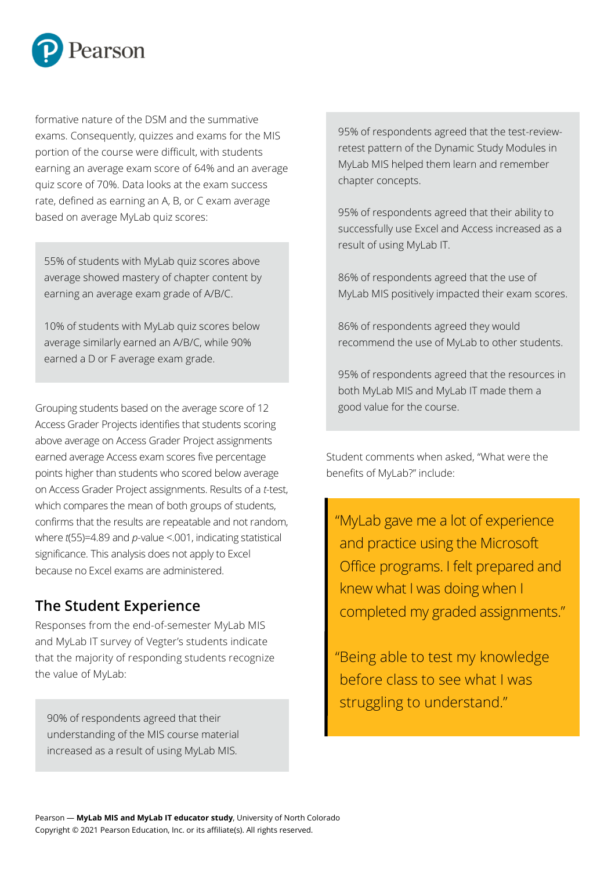

formative nature of the DSM and the summative exams. Consequently, quizzes and exams for the MIS portion of the course were difficult, with students earning an average exam score of 64% and an average quiz score of 70%. Data looks at the exam success rate, defined as earning an A, B, or C exam average based on average MyLab quiz scores:

55% of students with MyLab quiz scores above average showed mastery of chapter content by earning an average exam grade of A/B/C.

10% of students with MyLab quiz scores below average similarly earned an A/B/C, while 90% earned a D or F average exam grade.

Grouping students based on the average score of 12 Access Grader Projects identifies that students scoring above average on Access Grader Project assignments earned average Access exam scores five percentage points higher than students who scored below average on Access Grader Project assignments. Results of a *t*-test, which compares the mean of both groups of students, confirms that the results are repeatable and not random, where *t*(55)=4.89 and *p*-value <.001, indicating statistical significance. This analysis does not apply to Excel because no Excel exams are administered.

## **The Student Experience**

Responses from the end-of-semester MyLab MIS and MyLab IT survey of Vegter's students indicate that the majority of responding students recognize the value of MyLab:

90% of respondents agreed that their understanding of the MIS course material increased as a result of using MyLab MIS.

95% of respondents agreed that the test-reviewretest pattern of the Dynamic Study Modules in MyLab MIS helped them learn and remember chapter concepts.

95% of respondents agreed that their ability to successfully use Excel and Access increased as a result of using MyLab IT.

86% of respondents agreed that the use of MyLab MIS positively impacted their exam scores.

86% of respondents agreed they would recommend the use of MyLab to other students.

95% of respondents agreed that the resources in both MyLab MIS and MyLab IT made them a good value for the course.

Student comments when asked, "What were the benefits of MyLab?" include:

 "MyLab gave me a lot of experience and practice using the Microsoft Office programs. I felt prepared and knew what I was doing when I completed my graded assignments."

"Being able to test my knowledge before class to see what I was struggling to understand."